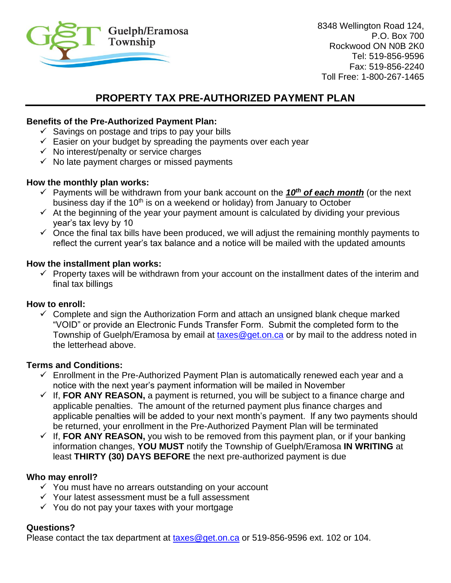

8348 Wellington Road 124, P.O. Box 700 Rockwood ON N0B 2K0 Tel: 519-856-9596 Fax: 519-856-2240 Toll Free: 1-800-267-1465

# **PROPERTY TAX PRE-AUTHORIZED PAYMENT PLAN**

## **Benefits of the Pre-Authorized Payment Plan:**

- $\checkmark$  Savings on postage and trips to pay your bills
- $\checkmark$  Easier on your budget by spreading the payments over each year
- $\checkmark$  No interest/penalty or service charges
- $\checkmark$  No late payment charges or missed payments

## **How the monthly plan works:**

- ✓ Payments will be withdrawn from your bank account on the *10th of each month* (or the next business day if the 10<sup>th</sup> is on a weekend or holiday) from January to October
- $\checkmark$  At the beginning of the year your payment amount is calculated by dividing your previous year's tax levy by 10
- $\checkmark$  Once the final tax bills have been produced, we will adjust the remaining monthly payments to reflect the current year's tax balance and a notice will be mailed with the updated amounts

## **How the installment plan works:**

 $\checkmark$  Property taxes will be withdrawn from your account on the installment dates of the interim and final tax billings

#### **How to enroll:**

 $\checkmark$  Complete and sign the Authorization Form and attach an unsigned blank cheque marked "VOID" or provide an Electronic Funds Transfer Form. Submit the completed form to the Township of Guelph/Eramosa by email at [taxes@get.on.ca](mailto:taxes@get.on.ca) or by mail to the address noted in the letterhead above.

### **Terms and Conditions:**

- $\checkmark$  Enrollment in the Pre-Authorized Payment Plan is automatically renewed each year and a notice with the next year's payment information will be mailed in November
- $\checkmark$  If, FOR ANY REASON, a payment is returned, you will be subject to a finance charge and applicable penalties. The amount of the returned payment plus finance charges and applicable penalties will be added to your next month's payment. If any two payments should be returned, your enrollment in the Pre-Authorized Payment Plan will be terminated
- $\checkmark$  If, FOR ANY REASON, you wish to be removed from this payment plan, or if your banking information changes, **YOU MUST** notify the Township of Guelph/Eramosa **IN WRITING** at least **THIRTY (30) DAYS BEFORE** the next pre-authorized payment is due

# **Who may enroll?**

- ✓ You must have no arrears outstanding on your account
- ✓ Your latest assessment must be a full assessment
- $\checkmark$  You do not pay your taxes with your mortgage

# **Questions?**

Please contact the tax department at  $t$  axes @get.on.ca or 519-856-9596 ext. 102 or 104.